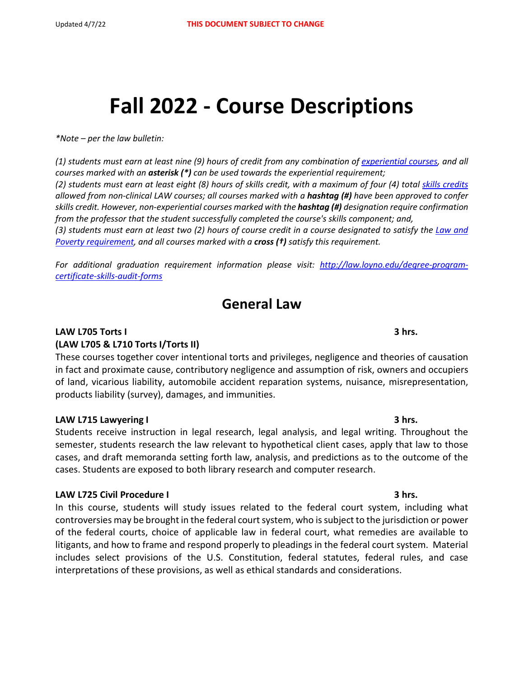# **Fall 2022 - Course Descriptions**

*\*Note – per the law bulletin:* 

*(1) students must earn at least nine (9) hours of credit from any combination o[f experiential courses,](https://lawbulletin.loyno.edu/regulations/academic-regulations#Experiential%20Requirement) and all courses marked with an asterisk (\*) can be used towards the experiential requirement; (2) students must earn at least eight (8) hours of skills credit, with a maximum of four (4) total [skills credits](http://lawbulletin.loyno.edu/skills-curriculum) allowed from non-clinical LAW courses; all courses marked with a hashtag (#) have been approved to confer skills credit. However, non-experiential courses marked with the hashtag (#) designation require confirmation from the professor that the student successfully completed the course's skills component; and,* (3) students must earn at least two (2) hours of course credit in a course designated to satisfy the *Law and [Poverty requirement,](https://lawbulletin.loyno.edu/regulations/academic-regulations#Law%20and%20Poverty%20Requirement) and all courses marked with a cross (†) satisfy this requirement.* 

*For additional graduation requirement information please visit: [http://law.loyno.edu/degree-program](http://law.loyno.edu/degree-program-certificate-skills-audit-forms)[certificate-skills-audit-forms](http://law.loyno.edu/degree-program-certificate-skills-audit-forms)*

# **General Law**

# **LAW L705 Torts I 3 hrs. (LAW L705 & L710 Torts I/Torts II)**

These courses together cover intentional torts and privileges, negligence and theories of causation in fact and proximate cause, contributory negligence and assumption of risk, owners and occupiers of land, vicarious liability, automobile accident reparation systems, nuisance, misrepresentation, products liability (survey), damages, and immunities.

# **LAW L715 Lawyering I 3 hrs.**

Students receive instruction in legal research, legal analysis, and legal writing. Throughout the semester, students research the law relevant to hypothetical client cases, apply that law to those cases, and draft memoranda setting forth law, analysis, and predictions as to the outcome of the cases. Students are exposed to both library research and computer research.

# **LAW L725 Civil Procedure I 3 hrs.**

In this course, students will study issues related to the federal court system, including what controversies may be brought in the federal court system, who is subject to the jurisdiction or power of the federal courts, choice of applicable law in federal court, what remedies are available to litigants, and how to frame and respond properly to pleadings in the federal court system. Material includes select provisions of the U.S. Constitution, federal statutes, federal rules, and case interpretations of these provisions, as well as ethical standards and considerations.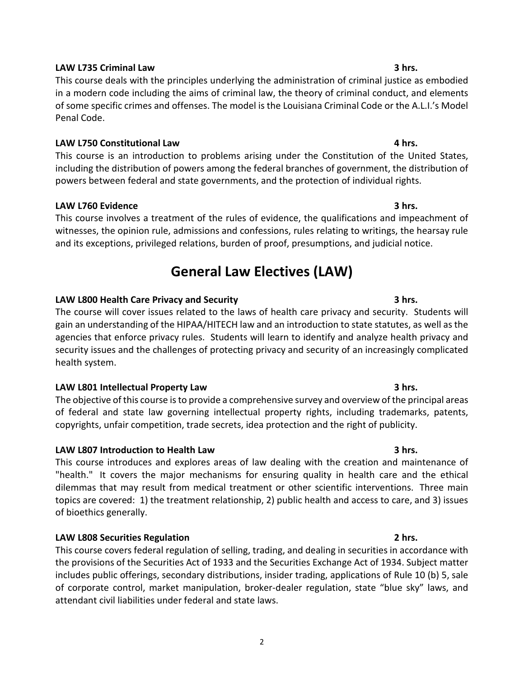# **LAW L735 Criminal Law 3 hrs.**

This course deals with the principles underlying the administration of criminal justice as embodied in a modern code including the aims of criminal law, the theory of criminal conduct, and elements of some specific crimes and offenses. The model is the Louisiana Criminal Code or the A.L.I.'s Model Penal Code.

# **LAW L750 Constitutional Law 4 hrs.**

This course is an introduction to problems arising under the Constitution of the United States, including the distribution of powers among the federal branches of government, the distribution of powers between federal and state governments, and the protection of individual rights.

# **LAW L760 Evidence 3 hrs.**

This course involves a treatment of the rules of evidence, the qualifications and impeachment of witnesses, the opinion rule, admissions and confessions, rules relating to writings, the hearsay rule and its exceptions, privileged relations, burden of proof, presumptions, and judicial notice.

# **General Law Electives (LAW)**

# **LAW L800 Health Care Privacy and Security 3 hrs.**

The course will cover issues related to the laws of health care privacy and security. Students will gain an understanding of the HIPAA/HITECH law and an introduction to state statutes, as well as the agencies that enforce privacy rules. Students will learn to identify and analyze health privacy and security issues and the challenges of protecting privacy and security of an increasingly complicated health system.

# **LAW L801 Intellectual Property Law 3 hrs.**

The objective of this course is to provide a comprehensive survey and overview of the principal areas of federal and state law governing intellectual property rights, including trademarks, patents, copyrights, unfair competition, trade secrets, idea protection and the right of publicity.

# **LAW L807 Introduction to Health Law 3 hrs.**

This course introduces and explores areas of law dealing with the creation and maintenance of "health." It covers the major mechanisms for ensuring quality in health care and the ethical dilemmas that may result from medical treatment or other scientific interventions. Three main topics are covered: 1) the treatment relationship, 2) public health and access to care, and 3) issues of bioethics generally.

# **LAW L808 Securities Regulation 2 hrs.**

This course covers federal regulation of selling, trading, and dealing in securities in accordance with the provisions of the Securities Act of 1933 and the Securities Exchange Act of 1934. Subject matter includes public offerings, secondary distributions, insider trading, applications of Rule 10 (b) 5, sale of corporate control, market manipulation, broker-dealer regulation, state "blue sky" laws, and attendant civil liabilities under federal and state laws.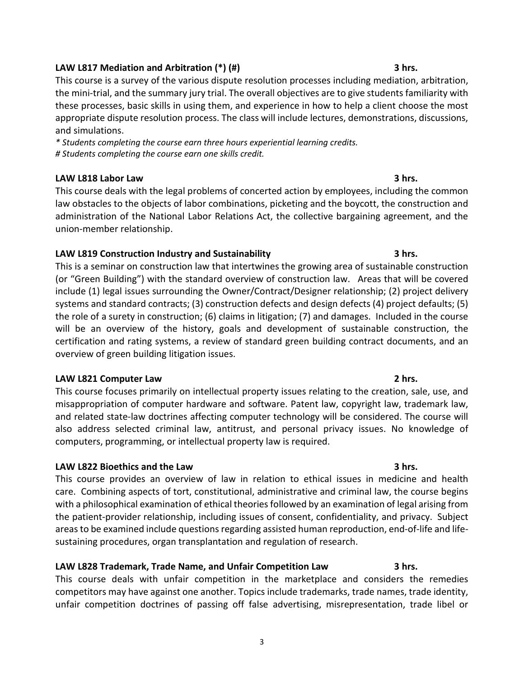# **LAW L817 Mediation and Arbitration (\*) (#) 3 hrs.**

This course is a survey of the various dispute resolution processes including mediation, arbitration, the mini-trial, and the summary jury trial. The overall objectives are to give students familiarity with these processes, basic skills in using them, and experience in how to help a client choose the most appropriate dispute resolution process. The class will include lectures, demonstrations, discussions, and simulations.

*\* Students completing the course earn three hours experiential learning credits. # Students completing the course earn one skills credit.*

# **LAW L818 Labor Law 3 hrs.**

This course deals with the legal problems of concerted action by employees, including the common law obstacles to the objects of labor combinations, picketing and the boycott, the construction and administration of the National Labor Relations Act, the collective bargaining agreement, and the union-member relationship.

# **LAW L819 Construction Industry and Sustainability 3 hrs.**

This is a seminar on construction law that intertwines the growing area of sustainable construction (or "Green Building") with the standard overview of construction law. Areas that will be covered include (1) legal issues surrounding the Owner/Contract/Designer relationship; (2) project delivery systems and standard contracts; (3) construction defects and design defects (4) project defaults; (5) the role of a surety in construction; (6) claims in litigation; (7) and damages. Included in the course will be an overview of the history, goals and development of sustainable construction, the certification and rating systems, a review of standard green building contract documents, and an overview of green building litigation issues.

# **LAW L821 Computer Law 2 hrs.**

This course focuses primarily on intellectual property issues relating to the creation, sale, use, and misappropriation of computer hardware and software. Patent law, copyright law, trademark law, and related state-law doctrines affecting computer technology will be considered. The course will also address selected criminal law, antitrust, and personal privacy issues. No knowledge of computers, programming, or intellectual property law is required.

# **LAW L822 Bioethics and the Law 3 hrs.**

This course provides an overview of law in relation to ethical issues in medicine and health care. Combining aspects of tort, constitutional, administrative and criminal law, the course begins with a philosophical examination of ethical theories followed by an examination of legal arising from the patient-provider relationship, including issues of consent, confidentiality, and privacy. Subject areas to be examined include questions regarding assisted human reproduction, end-of-life and lifesustaining procedures, organ transplantation and regulation of research.

# **LAW L828 Trademark, Trade Name, and Unfair Competition Law 3 hrs.**

This course deals with unfair competition in the marketplace and considers the remedies competitors may have against one another. Topics include trademarks, trade names, trade identity, unfair competition doctrines of passing off false advertising, misrepresentation, trade libel or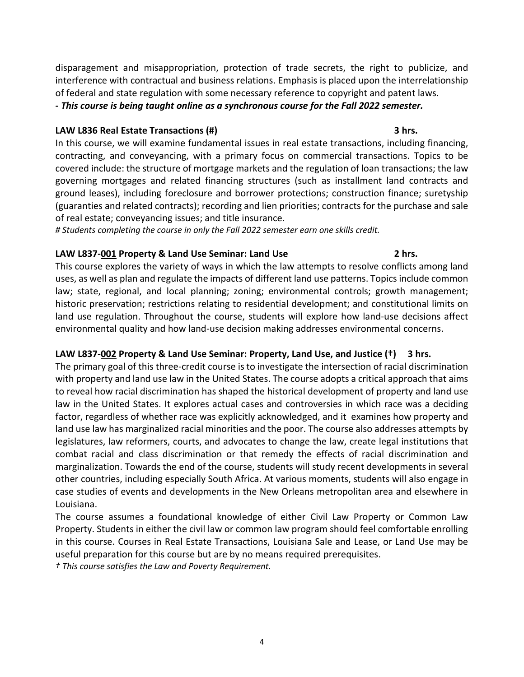disparagement and misappropriation, protection of trade secrets, the right to publicize, and interference with contractual and business relations. Emphasis is placed upon the interrelationship of federal and state regulation with some necessary reference to copyright and patent laws.

*- This course is being taught online as a synchronous course for the Fall 2022 semester.*

# **LAW L836 Real Estate Transactions (#) 3 hrs.**

In this course, we will examine fundamental issues in real estate transactions, including financing, contracting, and conveyancing, with a primary focus on commercial transactions. Topics to be covered include: the structure of mortgage markets and the regulation of loan transactions; the law governing mortgages and related financing structures (such as installment land contracts and ground leases), including foreclosure and borrower protections; construction finance; suretyship (guaranties and related contracts); recording and lien priorities; contracts for the purchase and sale of real estate; conveyancing issues; and title insurance.

*# Students completing the course in only the Fall 2022 semester earn one skills credit.*

# **LAW L837-001 Property & Land Use Seminar: Land Use 2 hrs.**

This course explores the variety of ways in which the law attempts to resolve conflicts among land uses, as well as plan and regulate the impacts of different land use patterns. Topics include common law; state, regional, and local planning; zoning; environmental controls; growth management; historic preservation; restrictions relating to residential development; and constitutional limits on land use regulation. Throughout the course, students will explore how land-use decisions affect environmental quality and how land-use decision making addresses environmental concerns.

# **LAW L837-002 Property & Land Use Seminar: Property, Land Use, and Justice (†) 3 hrs.**

The primary goal of this three-credit course is to investigate the intersection of racial discrimination with property and land use law in the United States. The course adopts a critical approach that aims to reveal how racial discrimination has shaped the historical development of property and land use law in the United States. It explores actual cases and controversies in which race was a deciding factor, regardless of whether race was explicitly acknowledged, and it examines how property and land use law has marginalized racial minorities and the poor. The course also addresses attempts by legislatures, law reformers, courts, and advocates to change the law, create legal institutions that combat racial and class discrimination or that remedy the effects of racial discrimination and marginalization. Towards the end of the course, students will study recent developments in several other countries, including especially South Africa. At various moments, students will also engage in case studies of events and developments in the New Orleans metropolitan area and elsewhere in Louisiana.

The course assumes a foundational knowledge of either Civil Law Property or Common Law Property. Students in either the civil law or common law program should feel comfortable enrolling in this course. Courses in Real Estate Transactions, Louisiana Sale and Lease, or Land Use may be useful preparation for this course but are by no means required prerequisites.

*† This course satisfies the Law and Poverty Requirement.*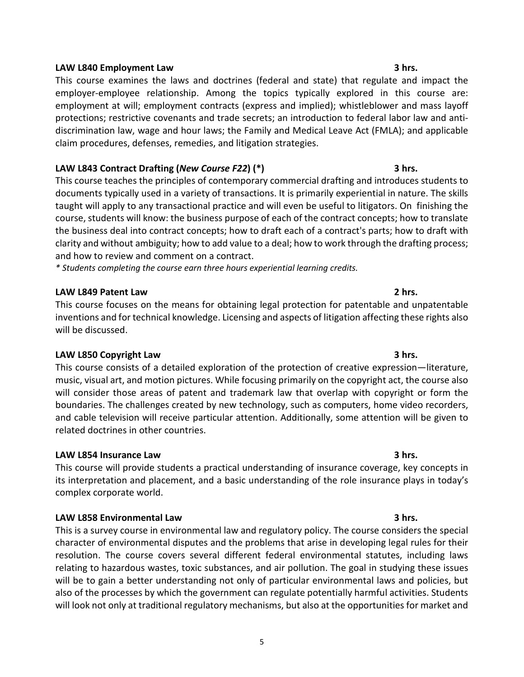# **LAW L840 Employment Law 3 hrs.**

This course examines the laws and doctrines (federal and state) that regulate and impact the employer-employee relationship. Among the topics typically explored in this course are: employment at will; employment contracts (express and implied); whistleblower and mass layoff protections; restrictive covenants and trade secrets; an introduction to federal labor law and antidiscrimination law, wage and hour laws; the Family and Medical Leave Act (FMLA); and applicable claim procedures, defenses, remedies, and litigation strategies.

# **LAW L843 Contract Drafting (***New Course F22***) (\*) 3 hrs.**

This course teaches the principles of contemporary commercial drafting and introduces students to documents typically used in a variety of transactions. It is primarily experiential in nature. The skills taught will apply to any transactional practice and will even be useful to litigators. On finishing the course, students will know: the business purpose of each of the contract concepts; how to translate the business deal into contract concepts; how to draft each of a contract's parts; how to draft with clarity and without ambiguity; how to add value to a deal; how to work through the drafting process; and how to review and comment on a contract.

*\* Students completing the course earn three hours experiential learning credits.*

# **LAW L849 Patent Law 2 hrs.**

This course focuses on the means for obtaining legal protection for patentable and unpatentable inventions and for technical knowledge. Licensing and aspects of litigation affecting these rights also will be discussed.

# **LAW L850 Copyright Law 3 hrs.**

This course consists of a detailed exploration of the protection of creative expression—literature, music, visual art, and motion pictures. While focusing primarily on the copyright act, the course also will consider those areas of patent and trademark law that overlap with copyright or form the boundaries. The challenges created by new technology, such as computers, home video recorders, and cable television will receive particular attention. Additionally, some attention will be given to related doctrines in other countries.

# **LAW L854 Insurance Law 3 hrs.**

This course will provide students a practical understanding of insurance coverage, key concepts in its interpretation and placement, and a basic understanding of the role insurance plays in today's complex corporate world.

# **LAW L858 Environmental Law 3 hrs.**

This is a survey course in environmental law and regulatory policy. The course considers the special character of environmental disputes and the problems that arise in developing legal rules for their resolution. The course covers several different federal environmental statutes, including laws relating to hazardous wastes, toxic substances, and air pollution. The goal in studying these issues will be to gain a better understanding not only of particular environmental laws and policies, but also of the processes by which the government can regulate potentially harmful activities. Students will look not only at traditional regulatory mechanisms, but also at the opportunities for market and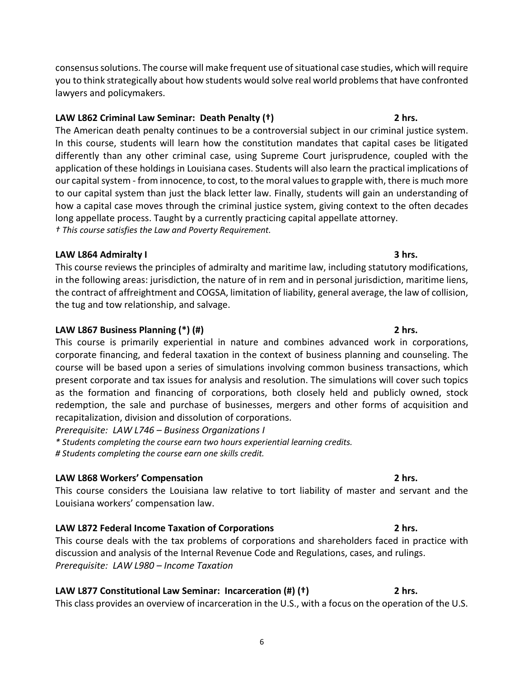6

consensus solutions. The course will make frequent use of situational case studies, which will require you to think strategically about how students would solve real world problems that have confronted lawyers and policymakers.

# **LAW L862 Criminal Law Seminar: Death Penalty (†) 2 hrs.**

The American death penalty continues to be a controversial subject in our criminal justice system. In this course, students will learn how the constitution mandates that capital cases be litigated differently than any other criminal case, using Supreme Court jurisprudence, coupled with the application of these holdings in Louisiana cases. Students will also learn the practical implications of our capital system - from innocence, to cost, to the moral values to grapple with, there is much more to our capital system than just the black letter law. Finally, students will gain an understanding of how a capital case moves through the criminal justice system, giving context to the often decades long appellate process. Taught by a currently practicing capital appellate attorney. *† This course satisfies the Law and Poverty Requirement.*

# **LAW L864 Admiralty I 3 hrs.**

This course reviews the principles of admiralty and maritime law, including statutory modifications, in the following areas: jurisdiction, the nature of in rem and in personal jurisdiction, maritime liens, the contract of affreightment and COGSA, limitation of liability, general average, the law of collision, the tug and tow relationship, and salvage.

# **LAW L867 Business Planning (\*) (#) 2 hrs.**

This course is primarily experiential in nature and combines advanced work in corporations, corporate financing, and federal taxation in the context of business planning and counseling. The course will be based upon a series of simulations involving common business transactions, which present corporate and tax issues for analysis and resolution. The simulations will cover such topics as the formation and financing of corporations, both closely held and publicly owned, stock redemption, the sale and purchase of businesses, mergers and other forms of acquisition and recapitalization, division and dissolution of corporations.

*Prerequisite: LAW L746 – Business Organizations I*

*\* Students completing the course earn two hours experiential learning credits. # Students completing the course earn one skills credit.*

# **LAW L868 Workers' Compensation 2 hrs.**

This course considers the Louisiana law relative to tort liability of master and servant and the Louisiana workers' compensation law.

# **LAW L872 Federal Income Taxation of Corporations 2 hrs.**

This course deals with the tax problems of corporations and shareholders faced in practice with discussion and analysis of the Internal Revenue Code and Regulations, cases, and rulings. *Prerequisite: LAW L980 – Income Taxation*

# **LAW L877 Constitutional Law Seminar: Incarceration (#) (†) 2 hrs.**

This class provides an overview of incarceration in the U.S., with a focus on the operation of the U.S.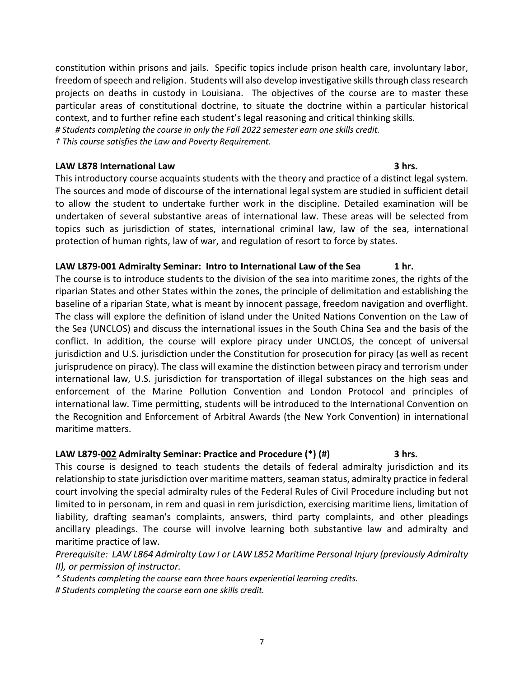constitution within prisons and jails. Specific topics include prison health care, involuntary labor, freedom of speech and religion. Students will also develop investigative skills through class research projects on deaths in custody in Louisiana. The objectives of the course are to master these particular areas of constitutional doctrine, to situate the doctrine within a particular historical context, and to further refine each student's legal reasoning and critical thinking skills. *# Students completing the course in only the Fall 2022 semester earn one skills credit.*

*† This course satisfies the Law and Poverty Requirement.*

# **LAW L878 International Law 3 hrs.**

This introductory course acquaints students with the theory and practice of a distinct legal system. The sources and mode of discourse of the international legal system are studied in sufficient detail to allow the student to undertake further work in the discipline. Detailed examination will be undertaken of several substantive areas of international law. These areas will be selected from topics such as jurisdiction of states, international criminal law, law of the sea, international protection of human rights, law of war, and regulation of resort to force by states.

# **LAW L879-001 Admiralty Seminar: Intro to International Law of the Sea 1 hr.**

The course is to introduce students to the division of the sea into maritime zones, the rights of the riparian States and other States within the zones, the principle of delimitation and establishing the baseline of a riparian State, what is meant by innocent passage, freedom navigation and overflight. The class will explore the definition of island under the United Nations Convention on the Law of the Sea (UNCLOS) and discuss the international issues in the South China Sea and the basis of the conflict. In addition, the course will explore piracy under UNCLOS, the concept of universal jurisdiction and U.S. jurisdiction under the Constitution for prosecution for piracy (as well as recent jurisprudence on piracy). The class will examine the distinction between piracy and terrorism under international law, U.S. jurisdiction for transportation of illegal substances on the high seas and enforcement of the Marine Pollution Convention and London Protocol and principles of international law. Time permitting, students will be introduced to the International Convention on the Recognition and Enforcement of Arbitral Awards (the New York Convention) in international maritime matters.

# **LAW L879-002 Admiralty Seminar: Practice and Procedure (\*) (#) 3 hrs.**

This course is designed to teach students the details of federal admiralty jurisdiction and its relationship to state jurisdiction over maritime matters, seaman status, admiralty practice in federal court involving the special admiralty rules of the Federal Rules of Civil Procedure including but not limited to in personam, in rem and quasi in rem jurisdiction, exercising maritime liens, limitation of liability, drafting seaman's complaints, answers, third party complaints, and other pleadings ancillary pleadings. The course will involve learning both substantive law and admiralty and maritime practice of law.

*Prerequisite: LAW L864 Admiralty Law I or LAW L852 Maritime Personal Injury (previously Admiralty II), or permission of instructor.*

*\* Students completing the course earn three hours experiential learning credits.*

*# Students completing the course earn one skills credit.*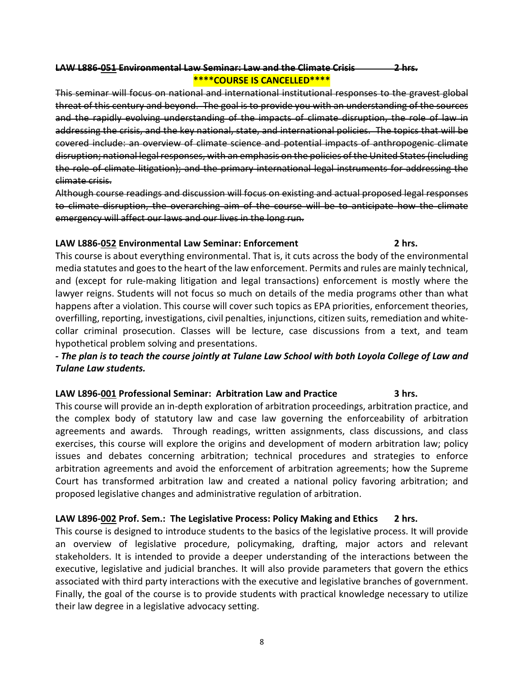# **LAW L886-051 Environmental Law Seminar: Law and the Climate Crisis 2 hrs. \*\*\*\*COURSE IS CANCELLED\*\*\*\***

This seminar will focus on national and international institutional responses to the gravest global threat of this century and beyond. The goal is to provide you with an understanding of the sources and the rapidly evolving understanding of the impacts of climate disruption, the role of law in addressing the crisis, and the key national, state, and international policies. The topics that will be covered include: an overview of climate science and potential impacts of anthropogenic climate disruption; national legal responses, with an emphasis on the policies of the United States (including the role of climate litigation); and the primary international legal instruments for addressing the climate crisis.

Although course readings and discussion will focus on existing and actual proposed legal responses to climate disruption, the overarching aim of the course will be to anticipate how the climate emergency will affect our laws and our lives in the long run.

# **LAW L886-052 Environmental Law Seminar: Enforcement 2 hrs.**

This course is about everything environmental. That is, it cuts across the body of the environmental media statutes and goes to the heart of the law enforcement. Permits and rules are mainly technical, and (except for rule-making litigation and legal transactions) enforcement is mostly where the lawyer reigns. Students will not focus so much on details of the media programs other than what happens after a violation. This course will cover such topics as EPA priorities, enforcement theories, overfilling, reporting, investigations, civil penalties, injunctions, citizen suits, remediation and whitecollar criminal prosecution. Classes will be lecture, case discussions from a text, and team hypothetical problem solving and presentations.

# *- The plan is to teach the course jointly at Tulane Law School with both Loyola College of Law and Tulane Law students.*

# **LAW L896-001 Professional Seminar: Arbitration Law and Practice 3 hrs.**

This course will provide an in-depth exploration of arbitration proceedings, arbitration practice, and the complex body of statutory law and case law governing the enforceability of arbitration agreements and awards. Through readings, written assignments, class discussions, and class exercises, this course will explore the origins and development of modern arbitration law; policy issues and debates concerning arbitration; technical procedures and strategies to enforce arbitration agreements and avoid the enforcement of arbitration agreements; how the Supreme Court has transformed arbitration law and created a national policy favoring arbitration; and proposed legislative changes and administrative regulation of arbitration.

# **LAW L896-002 Prof. Sem.: The Legislative Process: Policy Making and Ethics 2 hrs.**

This course is designed to introduce students to the basics of the legislative process. It will provide an overview of legislative procedure, policymaking, drafting, major actors and relevant stakeholders. It is intended to provide a deeper understanding of the interactions between the executive, legislative and judicial branches. It will also provide parameters that govern the ethics associated with third party interactions with the executive and legislative branches of government. Finally, the goal of the course is to provide students with practical knowledge necessary to utilize their law degree in a legislative advocacy setting.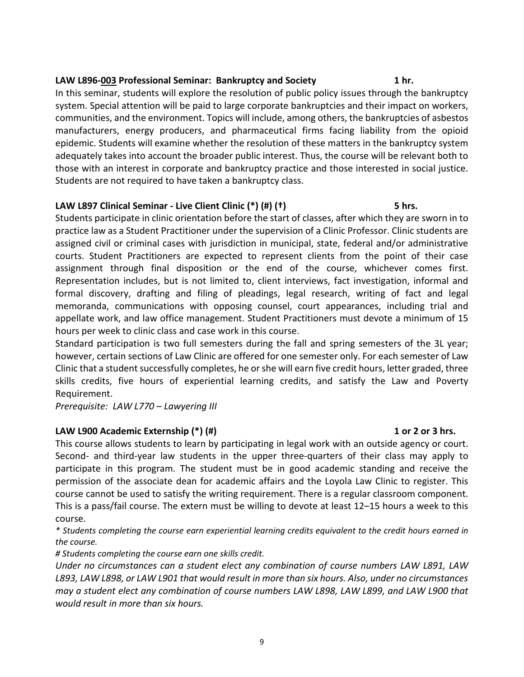# 9

# **LAW L896-003 Professional Seminar: Bankruptcy and Society 1 hr.**

In this seminar, students will explore the resolution of public policy issues through the bankruptcy system. Special attention will be paid to large corporate bankruptcies and their impact on workers, communities, and the environment. Topics will include, among others, the bankruptcies of asbestos manufacturers, energy producers, and pharmaceutical firms facing liability from the opioid epidemic. Students will examine whether the resolution of these matters in the bankruptcy system adequately takes into account the broader public interest. Thus, the course will be relevant both to those with an interest in corporate and bankruptcy practice and those interested in social justice. Students are not required to have taken a bankruptcy class.

# **LAW L897 Clinical Seminar - Live Client Clinic (\*) (#) (†) 5 hrs.**

Students participate in clinic orientation before the start of classes, after which they are sworn in to practice law as a Student Practitioner under the supervision of a Clinic Professor. Clinic students are assigned civil or criminal cases with jurisdiction in municipal, state, federal and/or administrative courts. Student Practitioners are expected to represent clients from the point of their case assignment through final disposition or the end of the course, whichever comes first. Representation includes, but is not limited to, client interviews, fact investigation, informal and formal discovery, drafting and filing of pleadings, legal research, writing of fact and legal memoranda, communications with opposing counsel, court appearances, including trial and appellate work, and law office management. Student Practitioners must devote a minimum of 15 hours per week to clinic class and case work in this course.

Standard participation is two full semesters during the fall and spring semesters of the 3L year; however, certain sections of Law Clinic are offered for one semester only. For each semester of Law Clinic that a student successfully completes, he or she will earn five credit hours, letter graded, three skills credits, five hours of experiential learning credits, and satisfy the Law and Poverty Requirement.

*Prerequisite: LAW L770 – Lawyering III*

# **LAW L900 Academic Externship (\*) (#) 1 or 2 or 3 hrs.**

This course allows students to learn by participating in legal work with an outside agency or court. Second- and third-year law students in the upper three-quarters of their class may apply to participate in this program. The student must be in good academic standing and receive the permission of the associate dean for academic affairs and the Loyola Law Clinic to register. This course cannot be used to satisfy the writing requirement. There is a regular classroom component. This is a pass/fail course. The extern must be willing to devote at least 12–15 hours a week to this course.

*\* Students completing the course earn experiential learning credits equivalent to the credit hours earned in the course.* 

*# Students completing the course earn one skills credit.*

*Under no circumstances can a student elect any combination of course numbers LAW L891, LAW L893, LAW L898, or LAW L901 that would result in more than six hours. Also, under no circumstances may a student elect any combination of course numbers LAW L898, LAW L899, and LAW L900 that would result in more than six hours.*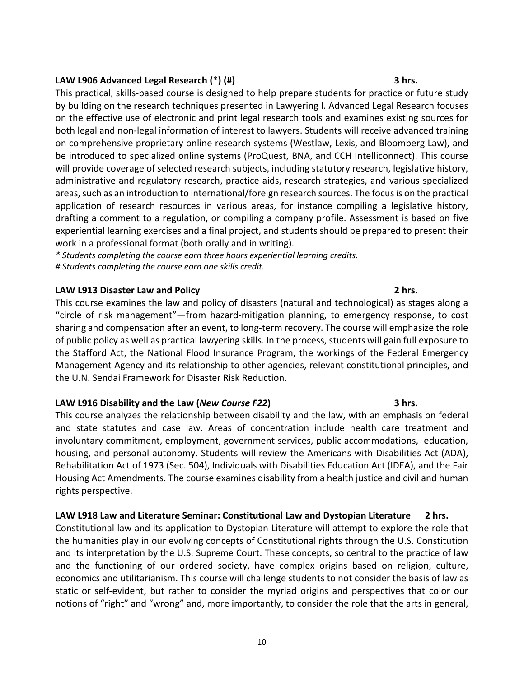# **LAW L906 Advanced Legal Research (\*) (#) 3 hrs.**

This practical, skills-based course is designed to help prepare students for practice or future study by building on the research techniques presented in Lawyering I. Advanced Legal Research focuses on the effective use of electronic and print legal research tools and examines existing sources for both legal and non-legal information of interest to lawyers. Students will receive advanced training on comprehensive proprietary online research systems (Westlaw, Lexis, and Bloomberg Law), and be introduced to specialized online systems (ProQuest, BNA, and CCH Intelliconnect). This course will provide coverage of selected research subjects, including statutory research, legislative history, administrative and regulatory research, practice aids, research strategies, and various specialized areas, such as an introduction to international/foreign research sources. The focus is on the practical application of research resources in various areas, for instance compiling a legislative history, drafting a comment to a regulation, or compiling a company profile. Assessment is based on five experiential learning exercises and a final project, and students should be prepared to present their work in a professional format (both orally and in writing).

*\* Students completing the course earn three hours experiential learning credits. # Students completing the course earn one skills credit.*

# **LAW L913 Disaster Law and Policy 2 hrs.**

This course examines the law and policy of disasters (natural and technological) as stages along a "circle of risk management"—from hazard-mitigation planning, to emergency response, to cost sharing and compensation after an event, to long-term recovery. The course will emphasize the role of public policy as well as practical lawyering skills. In the process, students will gain full exposure to the Stafford Act, the National Flood Insurance Program, the workings of the Federal Emergency Management Agency and its relationship to other agencies, relevant constitutional principles, and the U.N. Sendai Framework for Disaster Risk Reduction.

# **LAW L916 Disability and the Law (***New Course F22***) 3 hrs.**

This course analyzes the relationship between disability and the law, with an emphasis on federal and state statutes and case law. Areas of concentration include health care treatment and involuntary commitment, employment, government services, public accommodations, education, housing, and personal autonomy. Students will review the Americans with Disabilities Act (ADA), Rehabilitation Act of 1973 (Sec. 504), Individuals with Disabilities Education Act (IDEA), and the Fair Housing Act Amendments. The course examines disability from a health justice and civil and human rights perspective.

# **LAW L918 Law and Literature Seminar: Constitutional Law and Dystopian Literature 2 hrs.**

Constitutional law and its application to Dystopian Literature will attempt to explore the role that the humanities play in our evolving concepts of Constitutional rights through the U.S. Constitution and its interpretation by the U.S. Supreme Court. These concepts, so central to the practice of law and the functioning of our ordered society, have complex origins based on religion, culture, economics and utilitarianism. This course will challenge students to not consider the basis of law as static or self-evident, but rather to consider the myriad origins and perspectives that color our notions of "right" and "wrong" and, more importantly, to consider the role that the arts in general,

10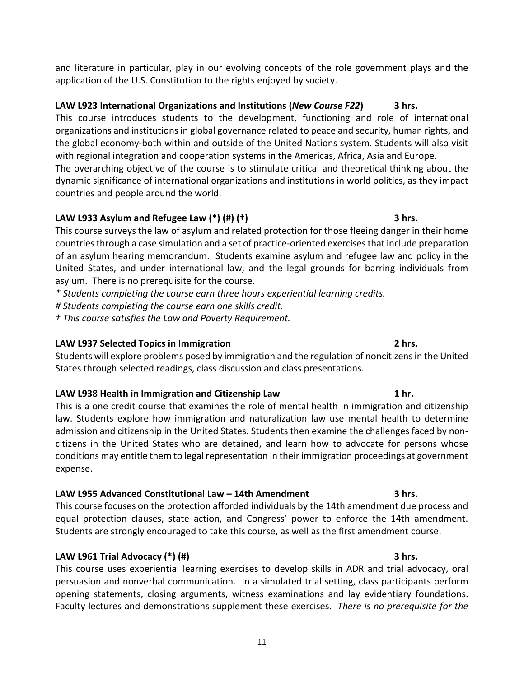and literature in particular, play in our evolving concepts of the role government plays and the application of the U.S. Constitution to the rights enjoyed by society.

# **LAW L923 International Organizations and Institutions (***New Course F22***) 3 hrs.**

This course introduces students to the development, functioning and role of international organizations and institutions in global governance related to peace and security, human rights, and the global economy-both within and outside of the United Nations system. Students will also visit with regional integration and cooperation systems in the Americas, Africa, Asia and Europe. The overarching objective of the course is to stimulate critical and theoretical thinking about the

dynamic significance of international organizations and institutions in world politics, as they impact countries and people around the world.

# **LAW L933 Asylum and Refugee Law (\*) (#) (†) 3 hrs.**

This course surveys the law of asylum and related protection for those fleeing danger in their home countries through a case simulation and a set of practice-oriented exercises that include preparation of an asylum hearing memorandum. Students examine asylum and refugee law and policy in the United States, and under international law, and the legal grounds for barring individuals from asylum. There is no prerequisite for the course.

*\* Students completing the course earn three hours experiential learning credits.*

*# Students completing the course earn one skills credit.*

*† This course satisfies the Law and Poverty Requirement.*

# **LAW L937 Selected Topics in Immigration 2 hrs.**

Students will explore problems posed by immigration and the regulation of noncitizens in the United States through selected readings, class discussion and class presentations.

# **LAW L938 Health in Immigration and Citizenship Law 1 hr.**

This is a one credit course that examines the role of mental health in immigration and citizenship law. Students explore how immigration and naturalization law use mental health to determine admission and citizenship in the United States. Students then examine the challenges faced by noncitizens in the United States who are detained, and learn how to advocate for persons whose conditions may entitle them to legal representation in their immigration proceedings at government expense.

# **LAW L955 Advanced Constitutional Law – 14th Amendment 3 hrs.**

This course focuses on the protection afforded individuals by the 14th amendment due process and equal protection clauses, state action, and Congress' power to enforce the 14th amendment. Students are strongly encouraged to take this course, as well as the first amendment course.

# **LAW L961 Trial Advocacy (\*) (#) 3 hrs.**

This course uses experiential learning exercises to develop skills in ADR and trial advocacy, oral persuasion and nonverbal communication. In a simulated trial setting, class participants perform opening statements, closing arguments, witness examinations and lay evidentiary foundations. Faculty lectures and demonstrations supplement these exercises. *There is no prerequisite for the*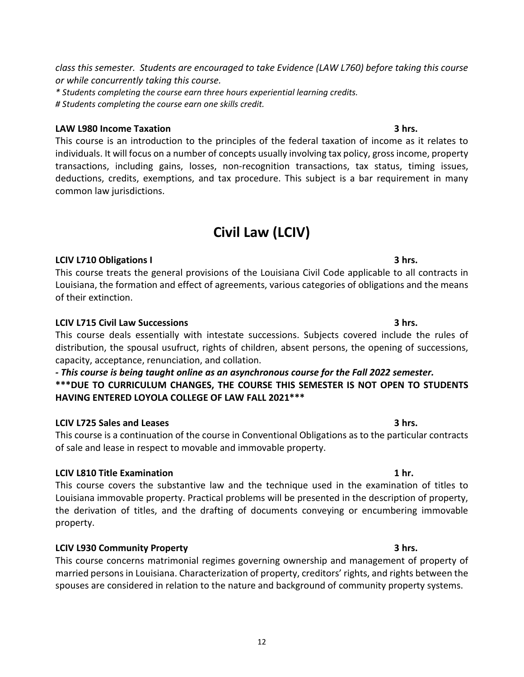*class this semester. Students are encouraged to take Evidence (LAW L760) before taking this course or while concurrently taking this course.* 

*\* Students completing the course earn three hours experiential learning credits. # Students completing the course earn one skills credit.*

# **LAW L980 Income Taxation 3 hrs.**

This course is an introduction to the principles of the federal taxation of income as it relates to individuals. It will focus on a number of concepts usually involving tax policy, gross income, property transactions, including gains, losses, non-recognition transactions, tax status, timing issues, deductions, credits, exemptions, and tax procedure. This subject is a bar requirement in many common law jurisdictions.

# **Civil Law (LCIV)**

# **LCIV L710 Obligations I 3 hrs.**

This course treats the general provisions of the Louisiana Civil Code applicable to all contracts in Louisiana, the formation and effect of agreements, various categories of obligations and the means of their extinction.

# **LCIV L715 Civil Law Successions 3 hrs.**

This course deals essentially with intestate successions. Subjects covered include the rules of distribution, the spousal usufruct, rights of children, absent persons, the opening of successions, capacity, acceptance, renunciation, and collation.

*- This course is being taught online as an asynchronous course for the Fall 2022 semester.* **\*\*\*DUE TO CURRICULUM CHANGES, THE COURSE THIS SEMESTER IS NOT OPEN TO STUDENTS HAVING ENTERED LOYOLA COLLEGE OF LAW FALL 2021\*\*\*** 

# **LCIV L725 Sales and Leases 3 hrs.**

This course is a continuation of the course in Conventional Obligations as to the particular contracts of sale and lease in respect to movable and immovable property.

# **LCIV L810 Title Examination 1 hr.**

This course covers the substantive law and the technique used in the examination of titles to Louisiana immovable property. Practical problems will be presented in the description of property, the derivation of titles, and the drafting of documents conveying or encumbering immovable property.

# **LCIV L930 Community Property 3 hrs.**

This course concerns matrimonial regimes governing ownership and management of property of married persons in Louisiana. Characterization of property, creditors' rights, and rights between the spouses are considered in relation to the nature and background of community property systems.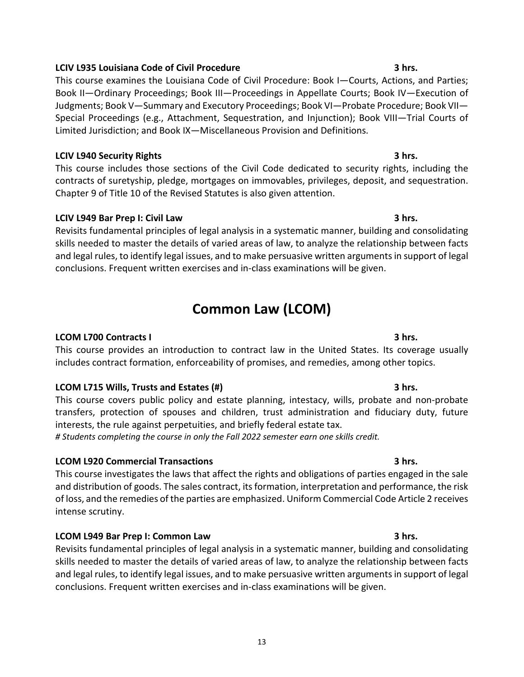# **LCIV L935 Louisiana Code of Civil Procedure 3 hrs.**

This course examines the Louisiana Code of Civil Procedure: Book I—Courts, Actions, and Parties; Book II—Ordinary Proceedings; Book III—Proceedings in Appellate Courts; Book IV—Execution of Judgments; Book V—Summary and Executory Proceedings; Book VI—Probate Procedure; Book VII— Special Proceedings (e.g., Attachment, Sequestration, and Injunction); Book VIII—Trial Courts of Limited Jurisdiction; and Book IX—Miscellaneous Provision and Definitions.

# **LCIV L940 Security Rights 3 hrs.**

This course includes those sections of the Civil Code dedicated to security rights, including the contracts of suretyship, pledge, mortgages on immovables, privileges, deposit, and sequestration. Chapter 9 of Title 10 of the Revised Statutes is also given attention.

# **LCIV L949 Bar Prep I: Civil Law 3 hrs.**

Revisits fundamental principles of legal analysis in a systematic manner, building and consolidating skills needed to master the details of varied areas of law, to analyze the relationship between facts and legal rules, to identify legal issues, and to make persuasive written arguments in support of legal conclusions. Frequent written exercises and in-class examinations will be given.

# **Common Law (LCOM)**

# **LCOM L700 Contracts I 3 hrs.**

This course provides an introduction to contract law in the United States. Its coverage usually includes contract formation, enforceability of promises, and remedies, among other topics.

# **LCOM L715 Wills, Trusts and Estates (#) 3 hrs.**

This course covers public policy and estate planning, intestacy, wills, probate and non-probate transfers, protection of spouses and children, trust administration and fiduciary duty, future interests, the rule against perpetuities, and briefly federal estate tax.

*# Students completing the course in only the Fall 2022 semester earn one skills credit.*

# **LCOM L920 Commercial Transactions 3 hrs.**

This course investigates the laws that affect the rights and obligations of parties engaged in the sale and distribution of goods. The sales contract, its formation, interpretation and performance, the risk of loss, and the remedies of the parties are emphasized. Uniform Commercial Code Article 2 receives intense scrutiny.

# **LCOM L949 Bar Prep I: Common Law 3 hrs.**

Revisits fundamental principles of legal analysis in a systematic manner, building and consolidating skills needed to master the details of varied areas of law, to analyze the relationship between facts and legal rules, to identify legal issues, and to make persuasive written arguments in support of legal conclusions. Frequent written exercises and in-class examinations will be given.